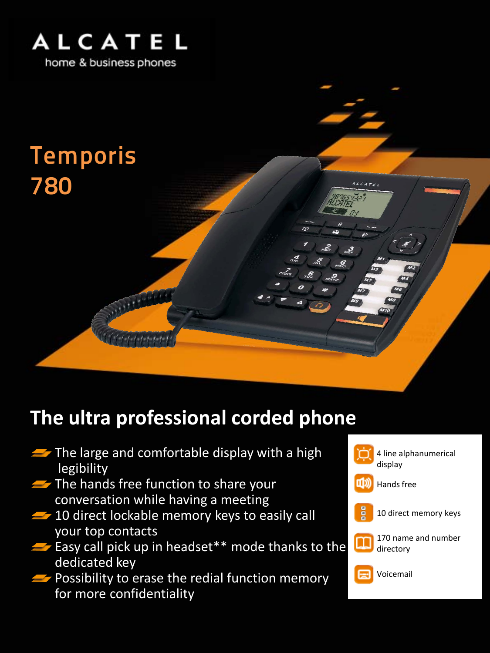

# Temporis 780

### **The ultra professional corded phone**

- $\blacktriangleright$  The large and comfortable display with a high legibility
- $\blacktriangleright$  The hands free function to share your conversation while having a meeting
- $\rightarrow$  10 direct lockable memory keys to easily call your top contacts
- $\blacktriangleright$  Easy call pick up in headset\*\* mode thanks to the dedicated key
- $\blacktriangleright$  Possibility to erase the redial function memory for more confidentiality